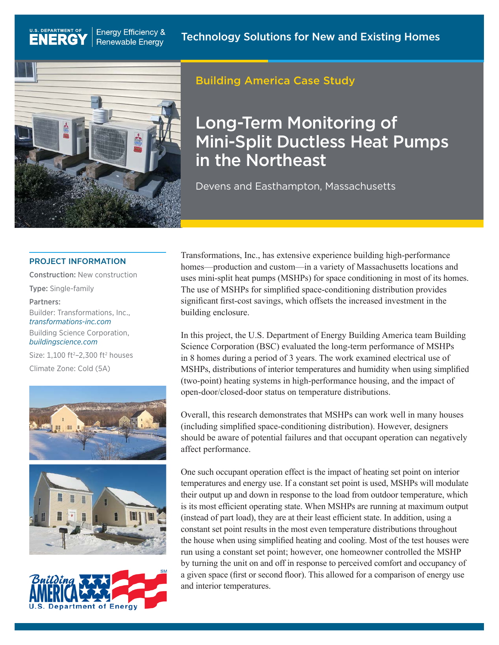

U.S. DEPARTMENT OF

**ENERGY** 

### Building America Case Study

# Long-Term Monitoring of Mini-Split Ductless Heat Pumps in the Northeast

Devens and Easthampton, Massachusetts

#### PROJECT INFORMATION

 Builder: Transformations, Inc., Construction: New construction Type: Single-family Partners: *[transformations-inc.com](http://transformations-inc.com)* 

Building Science Corporation, *[buildingscience.com](http://buildingscience.com)* 

Size:  $1,100$  ft<sup>2</sup>-2,300 ft<sup>2</sup> houses Climate Zone: Cold (5A)







Transformations, Inc., has extensive experience building high-performance homes—production and custom—in a variety of Massachusetts locations and uses mini-split heat pumps (MSHPs) for space conditioning in most of its homes. The use of MSHPs for simplified space-conditioning distribution provides significant first-cost savings, which offsets the increased investment in the building enclosure.

In this project, the U.S. Department of Energy Building America team Building Science Corporation (BSC) evaluated the long-term performance of MSHPs in 8 homes during a period of 3 years. The work examined electrical use of MSHPs, distributions of interior temperatures and humidity when using simplified (two-point) heating systems in high-performance housing, and the impact of open-door/closed-door status on temperature distributions.

Overall, this research demonstrates that MSHPs can work well in many houses (including simplified space-conditioning distribution). However, designers should be aware of potential failures and that occupant operation can negatively affect performance.

 by turning the unit on and off in response to perceived comfort and occupancy of One such occupant operation effect is the impact of heating set point on interior temperatures and energy use. If a constant set point is used, MSHPs will modulate their output up and down in response to the load from outdoor temperature, which is its most efficient operating state. When MSHPs are running at maximum output (instead of part load), they are at their least efficient state. In addition, using a constant set point results in the most even temperature distributions throughout the house when using simplified heating and cooling. Most of the test houses were run using a constant set point; however, one homeowner controlled the MSHP a given space (first or second floor). This allowed for a comparison of energy use and interior temperatures.